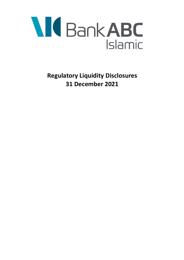

**Regulatory Liquidity Disclosures 31 December 2021**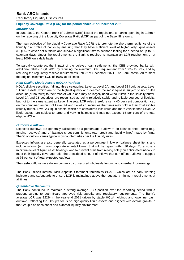# **Bank ABC Islamic**

Regulatory Liquidity Disclosures

### **Liquidity Coverage Ratio (LCR) for the period ended 31st December 2021**

## *Introduction*

In June 2019, the Central Bank of Bahrain (CBB) issued the regulations to banks operating in Bahrain on the reporting of the Liquidity Coverage Ratio (LCR) as part of the Basel III reforms.

The main objective of the Liquidity Coverage Ratio (LCR) is to promote the short-term resilience of the liquidity risk profile of banks by ensuring that they have sufficient level of high-quality liquid assets (HQLA) to cover net outflows and survive a significant stress scenario lasting for a period of up to 30 calendar days. Under the requirements, the Bank is required to maintain an LCR requirement of at least 100% on a daily basis.

To partially counteract the impact of the delayed loan settlements, the CBB provided banks with additional reliefs in Q1 2020 by reducing the minimum LCR requirement from 100% to 80%, and by reducing the regulatory reserve requirements until 31st December 2021. The Bank continued to meet the original minimum LCR of 100% at all times.

## *High Quality Liquid Assets (HQLA) Portfolio*

HQLA eligible securities, fall into three categories: Level 1, Level 2A, and Level 2B liquid assets. Level 1 liquid assets, which are of the highest quality and deemed the most liquid is subject to no or little discount (or haircuts) to their market value and may be largely used without limit in the liquidity buffer. Level 2A and 2B securities are recognised as being relatively stable and reliable sources of liquidity, but not to the same extent as Level 1 assets. LCR rules therefore set a 40 per cent composition cap on the combined amount of Level 2A and Level 2B securities that firms may hold in their total eligible liquidity buffer. Level 2B liquid assets, which are considered less liquid and more volatile than Level 2A liquid assets, are subject to large and varying haircuts and may not exceed 15 per cent of the total eligible HQLA.

## *Outflows & Inflows*

Expected outflows are generally calculated as a percentage outflow of on-balance sheet items (e.g. funding received) and off-balance sheet commitments (e.g. credit and liquidity lines) made by firms. The % of outflow varies typically by counterparties per the liquidity rules.

Expected inflows are also generally calculated as a percentage inflow on-balance sheet items and include inflows (e.g. from corporate or retail loans) that will be repaid within 30 days. To ensure a minimum level of liquid asset holdings, and to prevent firms from relying solely on anticipated inflows to meet their liquidity coverage ratio, the prescribed amount of inflows that can offset outflows is capped at 75 per cent of total expected outflows.

The cash-outflows were driven primarily by unsecured wholesale funding and inter-bank borrowings.

The Bank utilises internal Risk Appetite Statement thresholds ("RAS") which act as early warning indicators and safeguards to ensure LCR is maintained above the regulatory minimum requirements at all times.

#### *Quantitative Disclosure*

The Bank continued to maintain a strong average LCR position over the reporting period with a prudent surplus to both Board approved risk appetite and regulatory requirements. The Bank's average LCR was 222% in the year-end 2021 driven by stable HQLA holdings and lower net cash outflows, reflecting the Group's focus on high-quality liquid assets and aligned with overall growth in the Group's balance sheet and external liquidity environment.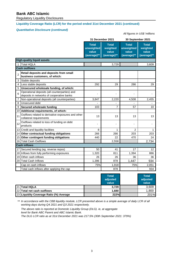# **Bank ABC Islamic**

Regulatory Liquidity Disclosures

# **Liquidity Coverage Ratio (LCR) for the period ended 31st December 2021 (continued)**

# *Quantitative Disclosure (continued)*

#### *All figures in US\$ 'millions*

| <b>Total</b><br><b>Total</b><br>unweighted<br>weighted<br>value<br>value<br>(average)**<br>(average)** | Total<br>unweighted<br>value<br>(average)** | <b>Total</b><br>weighted<br>value |  |  |  |  |  |  |
|--------------------------------------------------------------------------------------------------------|---------------------------------------------|-----------------------------------|--|--|--|--|--|--|
|                                                                                                        |                                             | (average)**                       |  |  |  |  |  |  |
| <b>High-quality liquid assets</b>                                                                      |                                             |                                   |  |  |  |  |  |  |
| 1 Total HQLA<br>3,729                                                                                  |                                             | 3,609                             |  |  |  |  |  |  |
| <b>Cash outflows</b>                                                                                   |                                             |                                   |  |  |  |  |  |  |
| Retail deposits and deposits from small<br>$\overline{2}$<br>business customers, of which:             |                                             |                                   |  |  |  |  |  |  |
| Stable deposits<br>3                                                                                   |                                             |                                   |  |  |  |  |  |  |
| Less stable deposits<br>$\overline{4}$<br>292                                                          | 29<br>286                                   | 29                                |  |  |  |  |  |  |
| Unsecured wholesale funding, of which:<br>5                                                            |                                             |                                   |  |  |  |  |  |  |
| Operational deposits (all counterparties) and<br>6<br>ä,<br>deposits in networks of cooperative banks  | $\blacksquare$                              |                                   |  |  |  |  |  |  |
| $\overline{7}$<br>Non-operational deposits (all counterparties)<br>3,847<br>2,220                      | 4,508                                       | 2,455                             |  |  |  |  |  |  |
| 8<br><b>Unsecured debt</b>                                                                             | ÷,                                          |                                   |  |  |  |  |  |  |
| Secured wholesale funding<br>9<br>103                                                                  | $\overline{7}$<br>57                        | 10                                |  |  |  |  |  |  |
| 10 Additional requirements, of which:                                                                  |                                             |                                   |  |  |  |  |  |  |
| Outflows related to derivative exposures and other<br>11<br>13<br>collateral requirements              | 13<br>13                                    | 13                                |  |  |  |  |  |  |
| Outflows related to loss of funding on debt<br>12<br>٠<br>products                                     |                                             |                                   |  |  |  |  |  |  |
| 13 Credit and liquidity facilities<br>8                                                                | $\overline{2}$<br>$\mathbf{1}$              | 1                                 |  |  |  |  |  |  |
| 14 Other contractual funding obligations<br>266<br>266                                                 | 203                                         | 203                               |  |  |  |  |  |  |
| 15 Other contingent funding obligations<br>440                                                         | 22<br>470                                   | 24                                |  |  |  |  |  |  |
| 16 Total Cash Outflows<br>2,558                                                                        |                                             | 2,734                             |  |  |  |  |  |  |
| <b>Cash inflows</b>                                                                                    |                                             |                                   |  |  |  |  |  |  |
| 17 Secured lending (eg. reverse repos)<br>50                                                           | 41<br>17                                    | 12                                |  |  |  |  |  |  |
| 18 Inflows from fully performing exposures<br>1,320<br>811                                             | 1,394                                       | 886                               |  |  |  |  |  |  |
| 19 Other cash inflows<br>26                                                                            | 26<br>36                                    | 36                                |  |  |  |  |  |  |
| 1,396<br>20 Total Cash Inflows<br>878                                                                  | 1,447                                       | 934                               |  |  |  |  |  |  |
| 75%<br>Cap on cash inflows<br>1,918                                                                    | 75%                                         | 2,051                             |  |  |  |  |  |  |
| Total cash inflows after applying the cap<br>878                                                       |                                             | 934                               |  |  |  |  |  |  |

|  |                                         | <b>Total</b><br>adjusted<br>value | <b>Total</b><br>adjusted<br>value |       |
|--|-----------------------------------------|-----------------------------------|-----------------------------------|-------|
|  | 21 Total HQLA                           |                                   | 3.729                             | 3,609 |
|  | 22 Total net cash outflows              |                                   | 1,680                             | 1,800 |
|  | 23 Liquidity Coverage Ratio (%) Average |                                   | 222%                              | 201%  |

\*\* *In accordance with the CBB liquidity module, LCR presented above is a simple average of daily LCR of all working days during Q4 2021 and Q3 2021 respectively.*

*The above ratio is reported at Domestic Liquidity Group (DLG). ie, at aggregate level for Bank ABC Parent and ABC Islamic Bank. The DLG LCR ratio as at 31st December 2021 was 217.5% (30th September 2021: 379%)*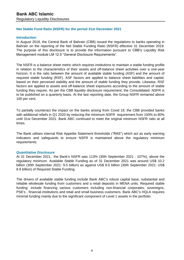# **Net Stable Fund Ratio (NSFR) for the period 31st December 2021**

# *Introduction*

In August 2018, the Central Bank of Bahrain (CBB) issued the regulations to banks operating in Bahrain on the reporting of the Net Stable Funding Ratio (NSFR) effective 31 December 2019. The purpose of this disclosure is to provide the information pursuant to CBB's Liquidity Risk Management module LM 12.5 "General Disclosure Requirements".

The NSFR is a balance sheet metric which requires institutions to maintain a stable funding profile in relation to the characteristics of their assets and off-balance sheet activities over a one-year horizon. It is the ratio between the amount of available stable funding (ASF) and the amount of required stable funding (RSF). ASF factors are applied to balance sheet liabilities and capital, based on their perceived stability and the amount of stable funding they provide. Likewise, RSF factors are applied to assets and off-balance sheet exposures according to the amount of stable funding they require. As per the CBB liquidity disclosure requirement, the Consolidated NSFR is to be published on a quarterly basis. At the last reporting date, the Group NSFR remained above 100 per cent.

To partially counteract the impact on the banks arising from Covid 19, the CBB provided banks with additional reliefs in Q1 2020 by reducing the minimum NSFR requirement from 100% to 80% until 31st December 2021. Bank ABC continued to meet the original minimum NSFR ratio at all times.

The Bank utilises internal Risk Appetite Statement thresholds ("RAS") which act as early warning indicators and safeguards to ensure NSFR is maintained above the regulatory minimum requirements.

# *Quantitative Disclosure*

At 31 December 2021, the Bank's NSFR was 113% (30th September 2021 : 107%), above the regulatory minimum. Available Stable Funding as of 31 December 2021 was around US\$ 10.2 billion (30th September 2021: 9.5 billion) as against US\$ 9.0 billion (30th September 2021: US\$ 8.9 billion) of Required Stable Funding.

The drivers of available stable funding include Bank ABC's robust capital base, substantial and reliable wholesale funding from customers and a retail deposits in MENA units. Required stable funding include financing various customers including non-financial corporates, sovereigns, PSE's , financial institutions and retail and small business customers. Bank ABC's HQLA requires minimal funding mainly due to the significant component of Level 1 assets in the portfolio.